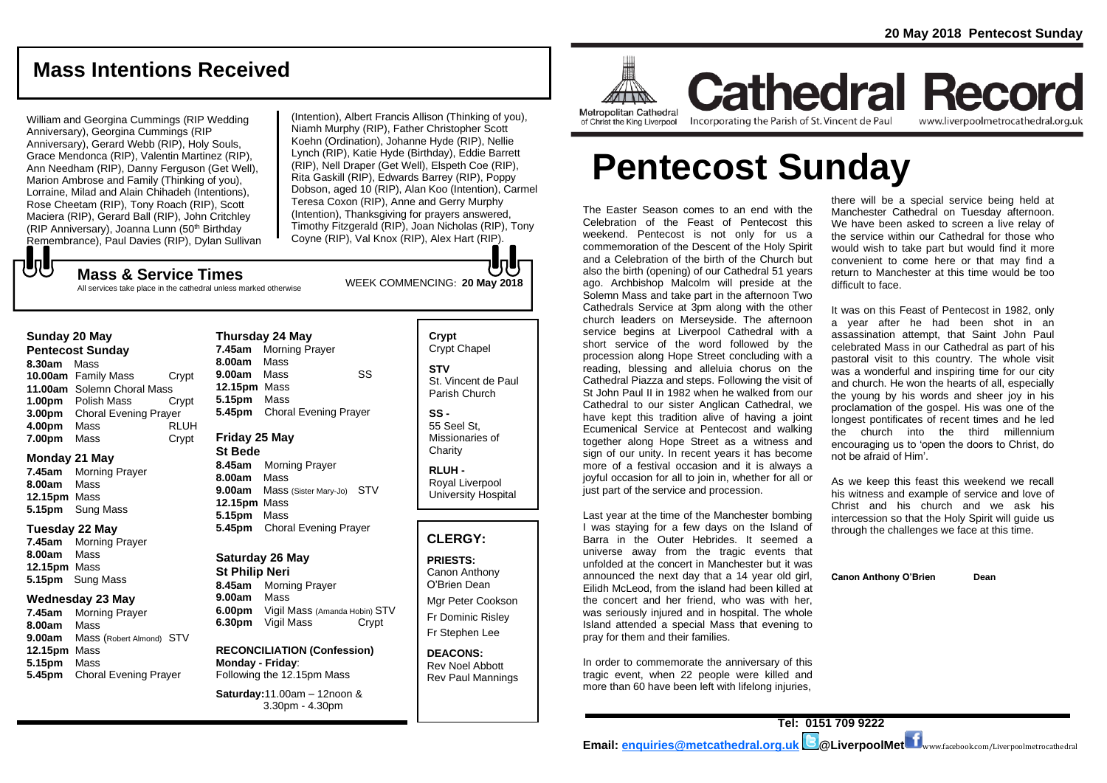# **Mass Intentions Received**

William and Georgina Cummings (RIP Wedding Anniversary), Georgina Cummings (RIP Anniversary), Gerard Webb (RIP), Holy Souls, Grace Mendonca (RIP), Valentin Martinez (RIP), Ann Needham (RIP), Danny Ferguson (Get Well), Marion Ambrose and Family (Thinking of you), Lorraine, Milad and Alain Chihadeh (Intentions), Rose Cheetam (RIP), Tony Roach (RIP), Scott Maciera (RIP), Gerard Ball (RIP), John Critchley (RIP Anniversary), Joanna Lunn (50th Birthday Remembrance), Paul Davies (RIP), Dylan Sullivan (Intention), Albert Francis Allison (Thinking of you), Niamh Murphy (RIP), Father Christopher Scott Koehn (Ordination), Johanne Hyde (RIP), Nellie Lynch (RIP), Katie Hyde (Birthday), Eddie Barrett (RIP), Nell Draper (Get Well), Elspeth Coe (RIP), Rita Gaskill (RIP), Edwards Barrey (RIP), Poppy Dobson, aged 10 (RIP), Alan Koo (Intention), Carmel Teresa Coxon (RIP), Anne and Gerry Murphy (Intention), Thanksgiving for prayers answered, Timothy Fitzgerald (RIP), Joan Nicholas (RIP), Tony Coyne (RIP), Val Knox (RIP), Alex Hart (RIP).

もし

WEEK COMMENCING: **<sup>20</sup> May <sup>2018</sup> Mass & Service Times** All services take place in the cathedral unless marked otherwise

#### **Sunday 20 May**

**Pentecost Sunday 8.30am** Mass **10.00am** Family Mass Crypt **11.00am** Solemn Choral Mass **1.00pm** Polish Mass Crypt **3.00pm** Choral Evening Prayer **4.00pm** Mass RLUH **7.00pm** Mass **Crypt** 

#### **Monday 21 May**

**7.45am** Morning Prayer **8.00am** Mass **12.15pm** Mass **5.15pm** Sung Mass

#### **Tuesday 22 May**

**7.45am** Morning Prayer **8.00am** Mass **12.15pm** Mass **5.15pm** Sung Mass

#### **Wednesday 23 May**

**7.45am** Morning Prayer **8.00am** Mass **9.00am** Mass (Robert Almond) STV **12.15pm** Mass **5.15pm** Mass **5.45pm** Choral Evening Prayer

#### **Thursday 24 May 7.45am** Morning Prayer **8.00am** Mass **9.00am** Mass SS **12.15pm** Mass **5.15pm** Mass **5.45pm** Choral Evening Prayer

#### **Friday 25 May St Bede**

**8.45am** Morning Prayer **8.00am** Mass **9.00am** Mass (Sister Mary-Jo) STV **12.15pm** Mass **5.15pm** Mass **5.45pm** Choral Evening Prayer

#### **Saturday 26 May St Philip Neri**

**8.45am** Morning Prayer **9.00am** Mass **6.00pm** Vigil Mass (Amanda Hobin) STV **6.30pm** Vigil Mass Crypt

#### **RECONCILIATION (Confession) Monday - Friday**: Following the 12.15pm Mass

**Saturday:**11.00am – 12noon & 3.30pm - 4.30pm

## **Crypt**  Crypt Chapel

**STV** St. Vincent de Paul Parish Church

**SS -** 55 Seel St,

Missionaries of **Charity RLUH -**

Royal Liverpool University Hospital

#### **CLERGY:**

**PRIESTS:** Canon Anthony O'Brien *Dean*

Mgr Peter Cookson Fr Dominic Risley Fr Stephen Lee

**DEACONS:** Rev Noel Abbott Rev Paul Mannings



**Cathedral Record** Incorporating the Parish of St. Vincent de Paul www.liverpoolmetrocathedral.org.uk

**Pentecost Sunday**

The Easter Season comes to an end with the Celebration of the Feast of Pentecost this weekend. Pentecost is not only for us a commemoration of the Descent of the Holy Spirit and a Celebration of the birth of the Church but also the birth (opening) of our Cathedral 51 years ago. Archbishop Malcolm will preside at the Solemn Mass and take part in the afternoon Two Cathedrals Service at 3pm along with the other church leaders on Merseyside. The afternoon service begins at Liverpool Cathedral with a short service of the word followed by the procession along Hope Street concluding with a reading, blessing and alleluia chorus on the Cathedral Piazza and steps. Following the visit of St John Paul II in 1982 when he walked from our Cathedral to our sister Anglican Cathedral, we have kept this tradition alive of having a joint Ecumenical Service at Pentecost and walking together along Hope Street as a witness and sign of our unity. In recent years it has become more of a festival occasion and it is always a joyful occasion for all to join in, whether for all or just part of the service and procession.

Last year at the time of the Manchester bombing I was staying for a few days on the Island of Barra in the Outer Hebrides. It seemed a universe away from the tragic events that unfolded at the concert in Manchester but it was announced the next day that a 14 year old girl, Eilidh McLeod, from the island had been killed at the concert and her friend, who was with her, was seriously injured and in hospital. The whole Island attended a special Mass that evening to pray for them and their families.

In order to commemorate the anniversary of this tragic event, when 22 people were killed and more than 60 have been left with lifelong injuries,

there will be a special service being held at Manchester Cathedral on Tuesday afternoon. We have been asked to screen a live relay of the service within our Cathedral for those who would wish to take part but would find it more convenient to come here or that may find a return to Manchester at this time would be too difficult to face.

It was on this Feast of Pentecost in 1982, only a year after he had been shot in an assassination attempt, that Saint John Paul celebrated Mass in our Cathedral as part of his pastoral visit to this country. The whole visit was a wonderful and inspiring time for our city and church. He won the hearts of all, especially the young by his words and sheer joy in his proclamation of the gospel. His was one of the longest pontificates of recent times and he led the church into the third millennium encouraging us to 'open the doors to Christ, do not be afraid of Him'.

As we keep this feast this weekend we recall his witness and example of service and love of Christ and his church and we ask his intercession so that the Holy Spirit will guide us through the challenges we face at this time.

**Canon Anthony O'Brien Dean**